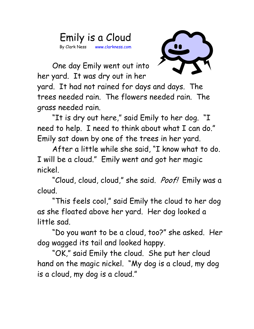## Emily is a Cloud By Clark Ness www.clarkness.com



One day Emily went out into her yard. It was dry out in her

yard. It had not rained for days and days. The trees needed rain. The flowers needed rain. The grass needed rain.

"It is dry out here," said Emily to her dog. "I need to help. I need to think about what I can do." Emily sat down by one of the trees in her yard.

After a little while she said, "I know what to do. I will be a cloud." Emily went and got her magic nickel.

"Cloud, cloud, cloud," she said. *Poof!* Emily was a cloud.

"This feels cool," said Emily the cloud to her dog as she floated above her yard. Her dog looked a little sad.

"Do you want to be a cloud, too?" she asked. Her dog wagged its tail and looked happy.

"OK," said Emily the cloud. She put her cloud hand on the magic nickel. "My dog is a cloud, my dog is a cloud, my dog is a cloud."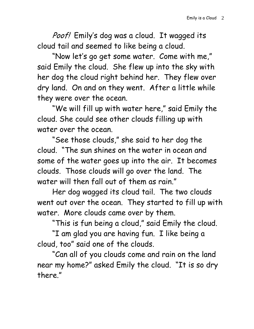Poof! Emily's dog was a cloud. It wagged its cloud tail and seemed to like being a cloud.

"Now let's go get some water. Come with me," said Emily the cloud. She flew up into the sky with her dog the cloud right behind her. They flew over dry land. On and on they went. After a little while they were over the ocean.

"We will fill up with water here," said Emily the cloud. She could see other clouds filling up with water over the ocean.

"See those clouds," she said to her dog the cloud. "The sun shines on the water in ocean and some of the water goes up into the air. It becomes clouds. Those clouds will go over the land. The water will then fall out of them as rain."

Her dog wagged its cloud tail. The two clouds went out over the ocean. They started to fill up with water. More clouds came over by them.

"This is fun being a cloud," said Emily the cloud.

"I am glad you are having fun. I like being a cloud, too" said one of the clouds.

"Can all of you clouds come and rain on the land near my home?" asked Emily the cloud. "It is so dry there."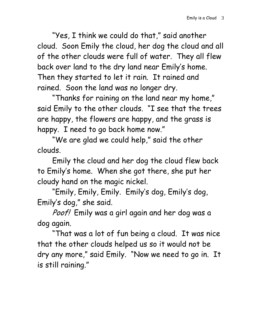"Yes, I think we could do that," said another cloud. Soon Emily the cloud, her dog the cloud and all of the other clouds were full of water. They all flew back over land to the dry land near Emily's home. Then they started to let it rain. It rained and rained. Soon the land was no longer dry.

"Thanks for raining on the land near my home," said Emily to the other clouds. "I see that the trees are happy, the flowers are happy, and the grass is happy. I need to go back home now."

"We are glad we could help," said the other clouds.

Emily the cloud and her dog the cloud flew back to Emily's home. When she got there, she put her cloudy hand on the magic nickel.

"Emily, Emily, Emily. Emily's dog, Emily's dog, Emily's dog," she said.

Poof! Emily was a girl again and her dog was a dog again.

"That was a lot of fun being a cloud. It was nice that the other clouds helped us so it would not be dry any more," said Emily. "Now we need to go in. It is still raining."